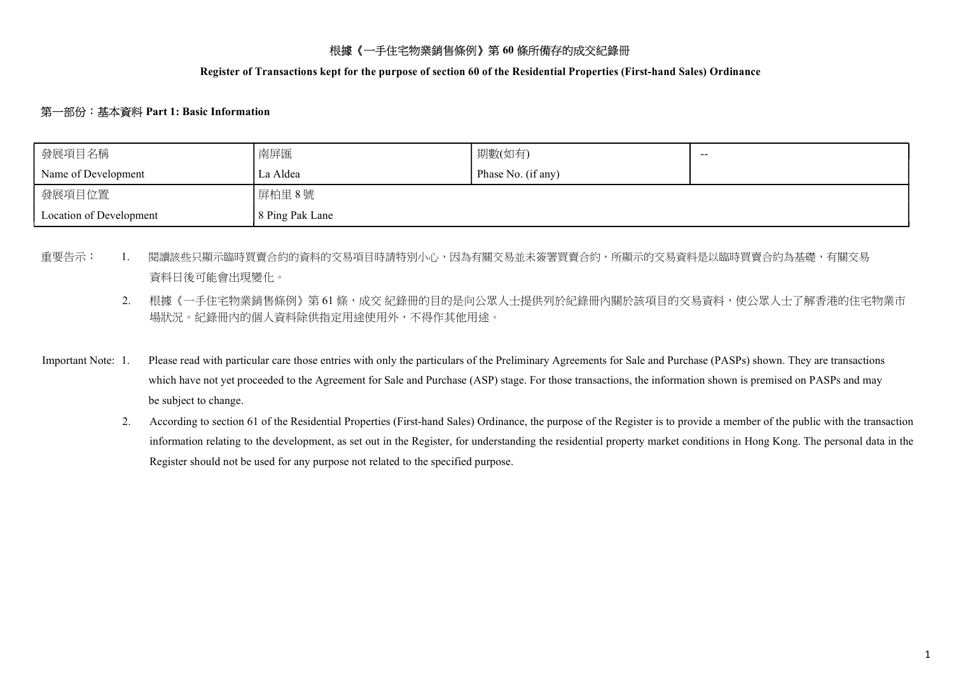# 根據《一手住宅物業銷售條例》第 60 條所備存的成交紀錄冊

Register of Transactions kept for the purpose of section 60 of the Residential Properties (First-hand Sales) Ordinance

#### 第一部份:基本資料 Part 1: Basic Information

| 發展項目名稱                  | 南屏匯             | 期數(如有)             | $- -$ |
|-------------------------|-----------------|--------------------|-------|
| Name of Development     | La Aldea        | Phase No. (if any) |       |
| 發展項目位置                  | 屏柏里 8號          |                    |       |
| Location of Development | 8 Ping Pak Lane |                    |       |

- 重要告示: 1. 閱讀該些只顯示臨時買賣合約的資料的交易項目時請特別小心,因為有關交易並未簽署買賣合約,所顯示的交易資料是以臨時買賣合約為基礎,有關交易 資料日後可能會出現變化。
	- 2. 根據《一手住宅物業銷售條例》第61條,成交紀錄冊的目的是向公眾人士提供列於紀錄冊內關於該項目的交易資料,使公眾人士了解香港的住宅物業市 場狀況。紀錄冊內的個人資料除供指定用途使用外,不得作其他用途。
- Important Note: 1. Please read with particular care those entries with only the particulars of the Preliminary Agreements for Sale and Purchase (PASPs) shown. They are transactions which have not yet proceeded to the Agreement for Sale and Purchase (ASP) stage. For those transactions, the information shown is premised on PASPs and may be subject to change.
	- 2. According to section 61 of the Residential Properties (First-hand Sales) Ordinance, the purpose of the Register is to provide a member of the public with the transaction information relating to the development, as set out in the Register, for understanding the residential property market conditions in Hong Kong. The personal data in the Register should not be used for any purpose not related to the specified purpose.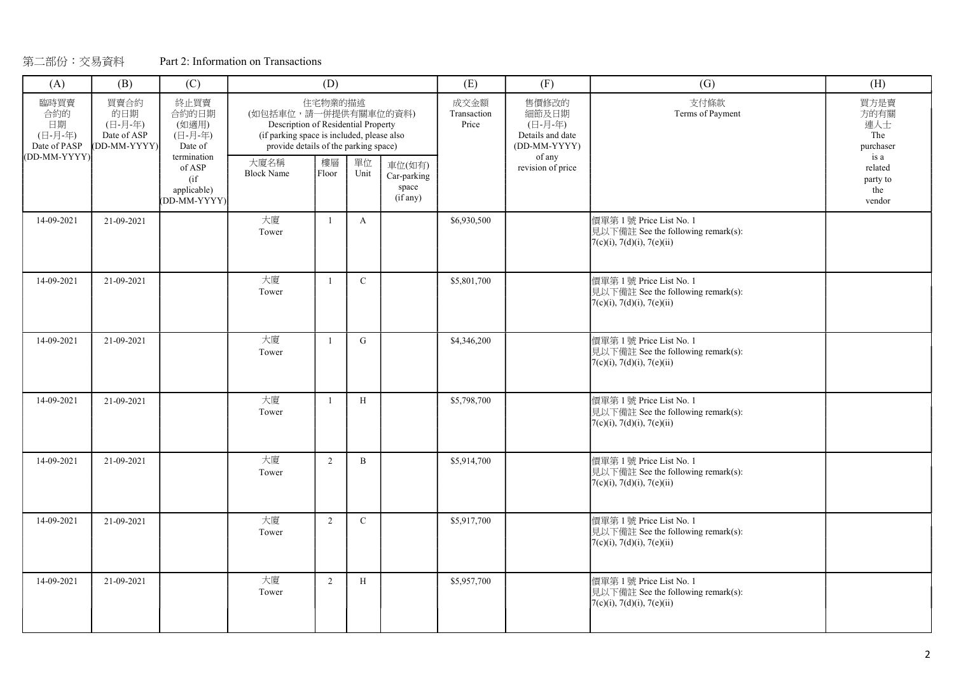| (A)                                                                                                                                                  | (B)                                                           | (C)          |                                                                                                                                                    | (D)            |              |                                            | (E)                          | (F)                                                           | (G)                                                                                                | (H)                                             |
|------------------------------------------------------------------------------------------------------------------------------------------------------|---------------------------------------------------------------|--------------|----------------------------------------------------------------------------------------------------------------------------------------------------|----------------|--------------|--------------------------------------------|------------------------------|---------------------------------------------------------------|----------------------------------------------------------------------------------------------------|-------------------------------------------------|
| 終止買賣<br>買賣合約<br>臨時買賣<br>合約的<br>的日期<br>合約的日期<br>(日-月-年)<br>(如適用)<br>日期<br>(日-月-年)<br>(日-月-年)<br>Date of ASP<br>Date of PASP<br>DD-MM-YYYY)<br>Date of |                                                               |              | (如包括車位,請一併提供有關車位的資料)<br>Description of Residential Property<br>(if parking space is included, please also<br>provide details of the parking space) | 住宅物業的描述        |              |                                            | 成交金額<br>Transaction<br>Price | 售價修改的<br>細節及日期<br>(日-月-年)<br>Details and date<br>(DD-MM-YYYY) | 支付條款<br>Terms of Payment                                                                           | 買方是賣<br>方的有關<br>連人士<br>The<br>purchaser<br>is a |
|                                                                                                                                                      | (DD-MM-YYYY)<br>termination<br>of ASP<br>(i f)<br>applicable) | (DD-MM-YYYY) | 大廈名稱<br><b>Block Name</b>                                                                                                                          | 樓層<br>Floor    | 單位<br>Unit   | 車位(如有)<br>Car-parking<br>space<br>(if any) |                              | of any<br>revision of price                                   |                                                                                                    | related<br>party to<br>the<br>vendor            |
| 14-09-2021                                                                                                                                           | 21-09-2021                                                    |              | 大廈<br>Tower                                                                                                                                        | $\overline{1}$ | $\mathbf{A}$ |                                            | \$6,930,500                  |                                                               | 價單第1號 Price List No. 1<br>見以下備註 See the following remark(s):<br>$7(c)(i)$ , 7(d)(i), 7(e)(ii)      |                                                 |
| 14-09-2021                                                                                                                                           | 21-09-2021                                                    |              | 大廈<br>Tower                                                                                                                                        | $\mathbf{1}$   | $\mathbf C$  |                                            | \$5,801,700                  |                                                               | 價單第1號 Price List No. 1<br>見以下備註 See the following remark(s):<br>$7(c)(i)$ , 7(d)(i), 7(e)(ii)      |                                                 |
| 14-09-2021                                                                                                                                           | 21-09-2021                                                    |              | 大廈<br>Tower                                                                                                                                        | $\overline{1}$ | $\mathbf{G}$ |                                            | \$4,346,200                  |                                                               | 價單第1號 Price List No. 1<br>見以下備註 See the following remark(s):<br>7(c)(i), 7(d)(i), 7(e)(ii)         |                                                 |
| 14-09-2021                                                                                                                                           | 21-09-2021                                                    |              | 大廈<br>Tower                                                                                                                                        | $\mathbf{1}$   | H            |                                            | \$5,798,700                  |                                                               | 價單第1號 Price List No. 1<br>見以下備註 See the following remark(s):<br>$7(c)(i)$ , 7(d)(i), 7(e)(ii)      |                                                 |
| 14-09-2021                                                                                                                                           | 21-09-2021                                                    |              | 大廈<br>Tower                                                                                                                                        | $\overline{2}$ | $\mathbf{B}$ |                                            | \$5,914,700                  |                                                               | 價單第1號 Price List No. 1<br>見以下備註 See the following remark(s):<br>$7(c)(i)$ , $7(d)(i)$ , $7(e)(ii)$ |                                                 |
| 14-09-2021                                                                                                                                           | 21-09-2021                                                    |              | 大廈<br>Tower                                                                                                                                        | $\overline{2}$ | $\mathbf C$  |                                            | \$5,917,700                  |                                                               | 價單第1號 Price List No. 1<br>見以下備註 See the following remark(s):<br>7(c)(i), 7(d)(i), 7(e)(ii)         |                                                 |
| 14-09-2021                                                                                                                                           | 21-09-2021                                                    |              | 大廈<br>Tower                                                                                                                                        | 2              | H            |                                            | \$5,957,700                  |                                                               | 價單第1號 Price List No. 1<br>見以下備註 See the following remark(s):<br>$7(c)(i)$ , $7(d)(i)$ , $7(e)(ii)$ |                                                 |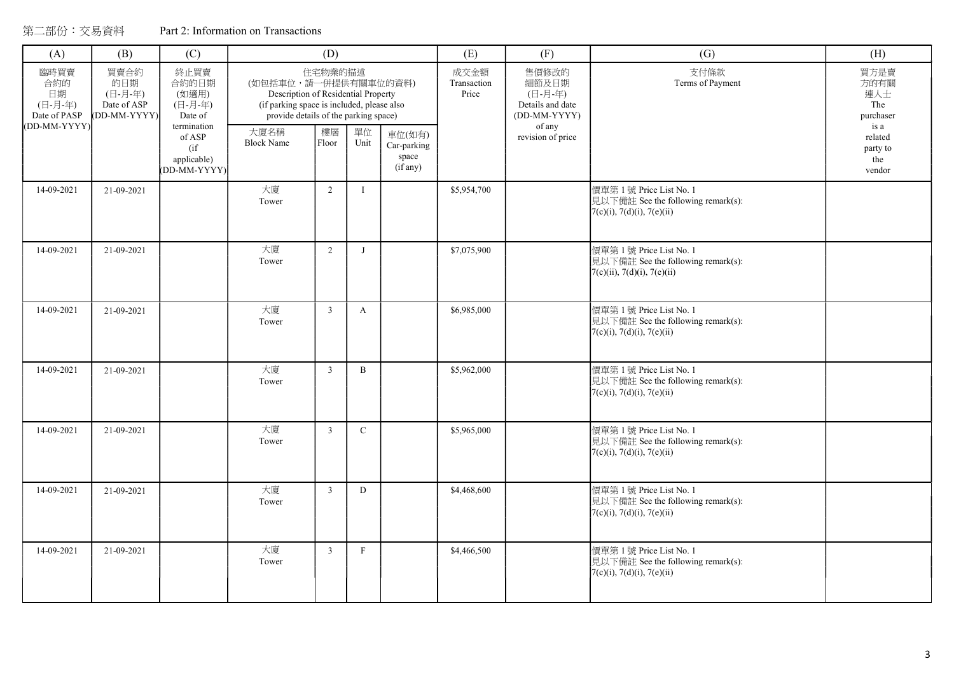| (A)                                                                                                   | (B)        | (C)                                                           |                                                                                                                                                    | (D)            |              |                                                    |                              | (F)                                                           | (G)                                                                                                 | (H)                                             |
|-------------------------------------------------------------------------------------------------------|------------|---------------------------------------------------------------|----------------------------------------------------------------------------------------------------------------------------------------------------|----------------|--------------|----------------------------------------------------|------------------------------|---------------------------------------------------------------|-----------------------------------------------------------------------------------------------------|-------------------------------------------------|
| 臨時買賣<br>買賣合約<br>合約的<br>的日期<br>日期<br>(日-月-年)<br>(日-月-年)<br>Date of ASP<br>Date of PASP<br>(DD-MM-YYYY) |            | 終止買賣<br>合約的日期<br>(如適用)<br>(日-月-年)<br>Date of                  | (如包括車位,請一併提供有關車位的資料)<br>Description of Residential Property<br>(if parking space is included, please also<br>provide details of the parking space) | 住宅物業的描述        |              |                                                    | 成交金額<br>Transaction<br>Price | 售價修改的<br>細節及日期<br>(日-月-年)<br>Details and date<br>(DD-MM-YYYY) | 支付條款<br>Terms of Payment                                                                            | 買方是賣<br>方的有關<br>連人士<br>The<br>purchaser<br>is a |
| (DD-MM-YYYY)                                                                                          |            | termination<br>of ASP<br>(i f)<br>applicable)<br>(DD-MM-YYYY) | 大廈名稱<br><b>Block Name</b>                                                                                                                          | 樓層<br>Floor    | 單位<br>Unit   | 車位(如有)<br>Car-parking<br>space<br>$(i\bar{f}$ any) |                              | of any<br>revision of price                                   |                                                                                                     | related<br>party to<br>the<br>vendor            |
| 14-09-2021                                                                                            | 21-09-2021 |                                                               | 大廈<br>Tower                                                                                                                                        | $\overline{2}$ |              |                                                    | \$5,954,700                  |                                                               | 價單第1號 Price List No. 1<br>見以下備註 See the following remark(s):<br>7(c)(i), 7(d)(i), 7(e)(ii)          |                                                 |
| 14-09-2021                                                                                            | 21-09-2021 |                                                               | 大廈<br>Tower                                                                                                                                        | $\sqrt{2}$     | J            |                                                    | \$7,075,900                  |                                                               | 價單第1號 Price List No. 1<br>見以下備註 See the following remark(s):<br>$7(c)(ii)$ , $7(d)(i)$ , $7(e)(ii)$ |                                                 |
| 14-09-2021                                                                                            | 21-09-2021 |                                                               | 大廈<br>Tower                                                                                                                                        | $\overline{3}$ | $\mathbf{A}$ |                                                    | \$6,985,000                  |                                                               | 價單第1號 Price List No. 1<br>見以下備註 See the following remark(s):<br>7(c)(i), 7(d)(i), 7(e)(ii)          |                                                 |
| 14-09-2021                                                                                            | 21-09-2021 |                                                               | 大廈<br>Tower                                                                                                                                        | $\overline{3}$ | $\mathbf{B}$ |                                                    | \$5,962,000                  |                                                               | 價單第1號 Price List No. 1<br>見以下備註 See the following remark(s):<br>7(c)(i), 7(d)(i), 7(e)(ii)          |                                                 |
| 14-09-2021                                                                                            | 21-09-2021 |                                                               | 大廈<br>Tower                                                                                                                                        | $\overline{3}$ | $\mathbf{C}$ |                                                    | \$5,965,000                  |                                                               | 價單第1號 Price List No. 1<br>見以下備註 See the following remark(s):<br>7(c)(i), 7(d)(i), 7(e)(ii)          |                                                 |
| 14-09-2021                                                                                            | 21-09-2021 |                                                               | 大廈<br>Tower                                                                                                                                        | $\overline{3}$ | D            |                                                    | \$4,468,600                  |                                                               | 價單第1號 Price List No. 1<br>見以下備註 See the following remark(s):<br>7(c)(i), 7(d)(i), 7(e)(ii)          |                                                 |
| 14-09-2021                                                                                            | 21-09-2021 |                                                               | 大廈<br>Tower                                                                                                                                        | $\overline{3}$ | $\mathbf{F}$ |                                                    | \$4,466,500                  |                                                               | 價單第1號 Price List No. 1<br>見以下備註 See the following remark(s):<br>7(c)(i), 7(d)(i), 7(e)(ii)          |                                                 |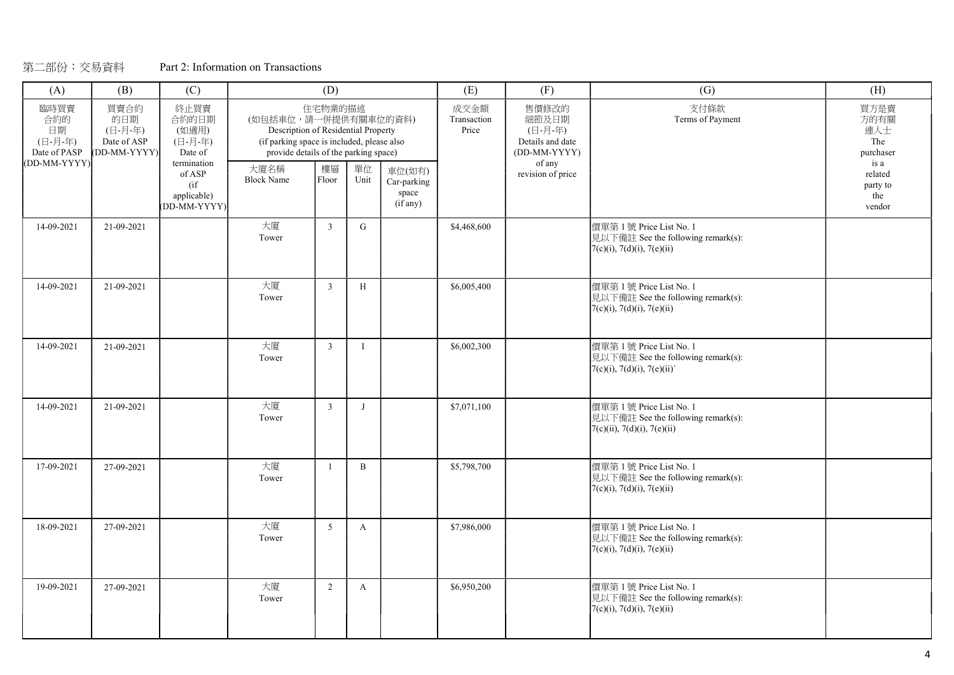| (A)                                                                                                                                                  | (B)        | (C)                                             |                                                                                                                                                    | (D)            |              |                                            | (E)                          | (F)                                                                     | (G)                                                                                            | (H)                                             |
|------------------------------------------------------------------------------------------------------------------------------------------------------|------------|-------------------------------------------------|----------------------------------------------------------------------------------------------------------------------------------------------------|----------------|--------------|--------------------------------------------|------------------------------|-------------------------------------------------------------------------|------------------------------------------------------------------------------------------------|-------------------------------------------------|
| 買賣合約<br>終止買賣<br>臨時買賣<br>合約的<br>的日期<br>合約的日期<br>日期<br>(日-月-年)<br>(如適用)<br>Date of ASP<br>(日-月-年)<br>(日-月-年)<br>DD-MM-YYYY)<br>Date of PASP<br>Date of |            | termination                                     | (如包括車位,請一併提供有關車位的資料)<br>Description of Residential Property<br>(if parking space is included, please also<br>provide details of the parking space) | 住宅物業的描述        |              |                                            | 成交金額<br>Transaction<br>Price | 售價修改的<br>細節及日期<br>(日-月-年)<br>Details and date<br>(DD-MM-YYYY)<br>of any | 支付條款<br>Terms of Payment                                                                       | 買方是賣<br>方的有關<br>連人士<br>The<br>purchaser<br>is a |
| (DD-MM-YYYY)                                                                                                                                         |            | of ASP<br>$($ if<br>applicable)<br>(DD-MM-YYYY) | 大廈名稱<br><b>Block Name</b>                                                                                                                          | 樓層<br>Floor    | 單位<br>Unit   | 車位(如有)<br>Car-parking<br>space<br>(if any) |                              | revision of price                                                       |                                                                                                | related<br>party to<br>the<br>vendor            |
| 14-09-2021                                                                                                                                           | 21-09-2021 |                                                 | 大廈<br>Tower                                                                                                                                        | $\overline{3}$ | $\mathbf{G}$ |                                            | \$4,468,600                  |                                                                         | 價單第1號 Price List No. 1<br>見以下備註 See the following remark(s):<br>$7(c)(i)$ , 7(d)(i), 7(e)(ii)  |                                                 |
| 14-09-2021                                                                                                                                           | 21-09-2021 |                                                 | 大廈<br>Tower                                                                                                                                        | $\overline{3}$ | H            |                                            | \$6,005,400                  |                                                                         | 價單第1號 Price List No. 1<br>見以下備註 See the following remark(s):<br>$7(c)(i)$ , 7(d)(i), 7(e)(ii)  |                                                 |
| 14-09-2021                                                                                                                                           | 21-09-2021 |                                                 | 大廈<br>Tower                                                                                                                                        | $\mathbf{3}$   | $\mathbf{I}$ |                                            | \$6,002,300                  |                                                                         | 價單第1號 Price List No. 1<br>見以下備註 See the following remark(s):<br>$7(c)(i)$ , 7(d)(i), 7(e)(ii)  |                                                 |
| 14-09-2021                                                                                                                                           | 21-09-2021 |                                                 | 大廈<br>Tower                                                                                                                                        | $\mathbf{3}$   | J            |                                            | \$7,071,100                  |                                                                         | 價單第1號 Price List No. 1<br>見以下備註 See the following remark(s):<br>$7(c)(ii)$ , 7(d)(i), 7(e)(ii) |                                                 |
| 17-09-2021                                                                                                                                           | 27-09-2021 |                                                 | 大廈<br>Tower                                                                                                                                        | $\mathbf{1}$   | $\mathbf{B}$ |                                            | \$5,798,700                  |                                                                         | 價單第1號 Price List No. 1<br>見以下備註 See the following remark(s):<br>$7(c)(i)$ , 7(d)(i), 7(e)(ii)  |                                                 |
| 18-09-2021                                                                                                                                           | 27-09-2021 |                                                 | 大廈<br>Tower                                                                                                                                        | 5 <sup>5</sup> | A            |                                            | \$7,986,000                  |                                                                         | 價單第1號 Price List No. 1<br>見以下備註 See the following remark(s):<br>$7(c)(i)$ , 7(d)(i), 7(e)(ii)  |                                                 |
| 19-09-2021                                                                                                                                           | 27-09-2021 |                                                 | 大廈<br>Tower                                                                                                                                        | 2              | $\mathbf{A}$ |                                            | \$6,950,200                  |                                                                         | 價單第1號 Price List No. 1<br>見以下備註 See the following remark(s):<br>$7(c)(i)$ , 7(d)(i), 7(e)(ii)  |                                                 |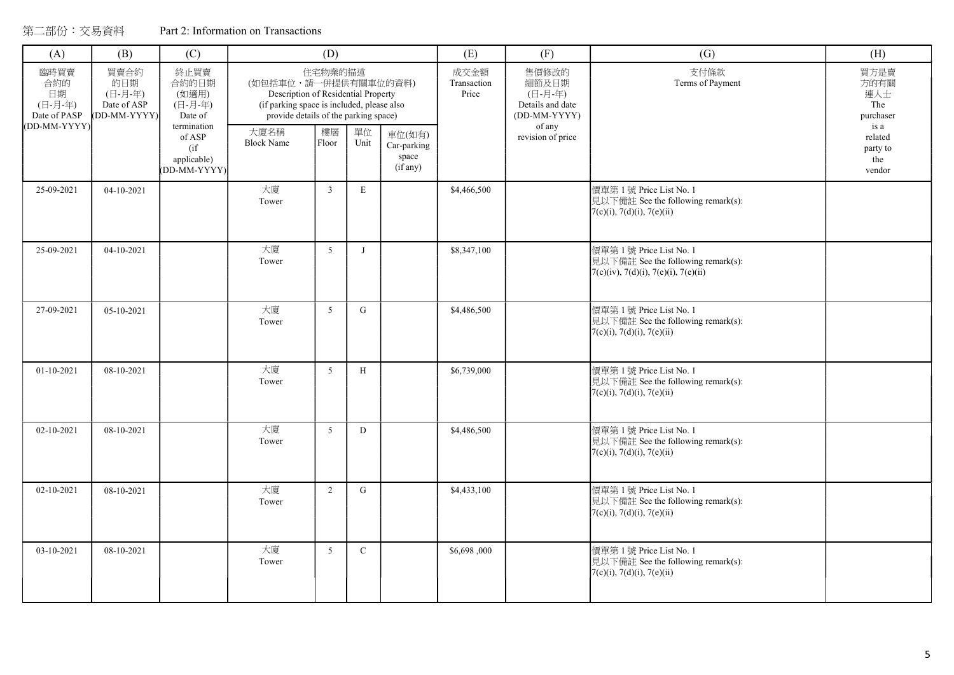| (A)                                                                                                   | (B)        | (C)                                                           |                                                                                                                                                    | (D)             |              |                                                    |                              | (F)                                                           | (G)                                                                                                  | (H)                                             |
|-------------------------------------------------------------------------------------------------------|------------|---------------------------------------------------------------|----------------------------------------------------------------------------------------------------------------------------------------------------|-----------------|--------------|----------------------------------------------------|------------------------------|---------------------------------------------------------------|------------------------------------------------------------------------------------------------------|-------------------------------------------------|
| 臨時買賣<br>買賣合約<br>合約的<br>的日期<br>日期<br>(日-月-年)<br>(日-月-年)<br>Date of ASP<br>Date of PASP<br>(DD-MM-YYYY) |            | 終止買賣<br>合約的日期<br>(如適用)<br>(日-月-年)<br>Date of                  | (如包括車位,請一併提供有關車位的資料)<br>Description of Residential Property<br>(if parking space is included, please also<br>provide details of the parking space) | 住宅物業的描述         |              |                                                    | 成交金額<br>Transaction<br>Price | 售價修改的<br>細節及日期<br>(日-月-年)<br>Details and date<br>(DD-MM-YYYY) | 支付條款<br>Terms of Payment                                                                             | 買方是賣<br>方的有關<br>連人士<br>The<br>purchaser<br>is a |
| (DD-MM-YYYY)                                                                                          |            | termination<br>of ASP<br>(i f)<br>applicable)<br>(DD-MM-YYYY) | 大廈名稱<br><b>Block Name</b>                                                                                                                          | 樓層<br>Floor     | 單位<br>Unit   | 車位(如有)<br>Car-parking<br>space<br>$(i\bar{f}$ any) |                              | of any<br>revision of price                                   |                                                                                                      | related<br>party to<br>the<br>vendor            |
| 25-09-2021                                                                                            | 04-10-2021 |                                                               | 大廈<br>Tower                                                                                                                                        | $\overline{3}$  | $\mathbf E$  |                                                    | \$4,466,500                  |                                                               | 價單第1號 Price List No. 1<br>見以下備註 See the following remark(s):<br>7(c)(i), 7(d)(i), 7(e)(ii)           |                                                 |
| 25-09-2021                                                                                            | 04-10-2021 |                                                               | 大廈<br>Tower                                                                                                                                        | $5\overline{)}$ | $\mathbf{J}$ |                                                    | \$8,347,100                  |                                                               | 價單第1號 Price List No. 1<br>見以下備註 See the following remark(s):<br>7(c)(iv), 7(d)(i), 7(e)(i), 7(e)(ii) |                                                 |
| 27-09-2021                                                                                            | 05-10-2021 |                                                               | 大廈<br>Tower                                                                                                                                        | 5               | $\mathbf G$  |                                                    | \$4,486,500                  |                                                               | 價單第1號 Price List No. 1<br>見以下備註 See the following remark(s):<br>7(c)(i), 7(d)(i), 7(e)(ii)           |                                                 |
| 01-10-2021                                                                                            | 08-10-2021 |                                                               | 大廈<br>Tower                                                                                                                                        | 5               | H            |                                                    | \$6,739,000                  |                                                               | 價單第1號 Price List No. 1<br>見以下備註 See the following remark(s):<br>7(c)(i), 7(d)(i), 7(e)(ii)           |                                                 |
| 02-10-2021                                                                                            | 08-10-2021 |                                                               | 大廈<br>Tower                                                                                                                                        | $5\overline{)}$ | D            |                                                    | \$4,486,500                  |                                                               | 價單第1號 Price List No. 1<br>見以下備註 See the following remark(s):<br>7(c)(i), 7(d)(i), 7(e)(ii)           |                                                 |
| 02-10-2021                                                                                            | 08-10-2021 |                                                               | 大廈<br>Tower                                                                                                                                        | 2               | G            |                                                    | \$4,433,100                  |                                                               | 價單第1號 Price List No. 1<br>見以下備註 See the following remark(s):<br>7(c)(i), 7(d)(i), 7(e)(ii)           |                                                 |
| 03-10-2021                                                                                            | 08-10-2021 |                                                               | 大廈<br>Tower                                                                                                                                        | 5               | $\mathbf C$  |                                                    | \$6,698,000                  |                                                               | 價單第1號 Price List No. 1<br>見以下備註 See the following remark(s):<br>7(c)(i), 7(d)(i), 7(e)(ii)           |                                                 |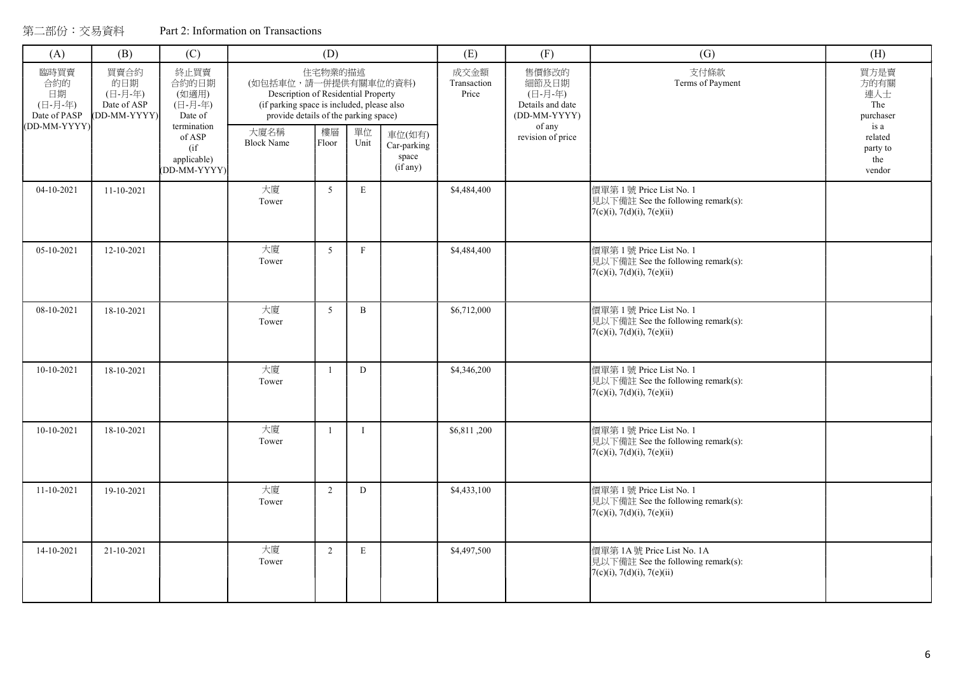| Part 2: Information on Transactions |
|-------------------------------------|
|-------------------------------------|

| (A)                                          | (B)                                                                            | (C)                                          |                                                                                                                                                    | (D)            |                                            |  | (E)                          | (F)                                                           | (G)                                                                                           | (H)                                             |
|----------------------------------------------|--------------------------------------------------------------------------------|----------------------------------------------|----------------------------------------------------------------------------------------------------------------------------------------------------|----------------|--------------------------------------------|--|------------------------------|---------------------------------------------------------------|-----------------------------------------------------------------------------------------------|-------------------------------------------------|
| 臨時買賣<br>合約的<br>日期<br>(日-月-年)<br>Date of PASP | 買賣合約<br>的日期<br>(日-月-年)<br>Date of ASP<br>(DD-MM-YYYY)                          | 終止買賣<br>合約的日期<br>(如適用)<br>(日-月-年)<br>Date of | (如包括車位,請一併提供有關車位的資料)<br>Description of Residential Property<br>(if parking space is included, please also<br>provide details of the parking space) | 住宅物業的描述        |                                            |  | 成交金額<br>Transaction<br>Price | 售價修改的<br>細節及日期<br>(日-月-年)<br>Details and date<br>(DD-MM-YYYY) | 支付條款<br>Terms of Payment                                                                      | 買方是賣<br>方的有關<br>連人士<br>The<br>purchaser<br>is a |
|                                              | (DD-MM-YYYY)<br>termination<br>of ASP<br>$($ if<br>applicable)<br>(DD-MM-YYYY) | 大廈名稱<br><b>Block Name</b>                    | 樓層<br>Floor                                                                                                                                        | 單位<br>Unit     | 車位(如有)<br>Car-parking<br>space<br>(if any) |  | of any<br>revision of price  |                                                               | related<br>party to<br>the<br>vendor                                                          |                                                 |
| 04-10-2021                                   | $11-10-2021$                                                                   |                                              | 大廈<br>Tower                                                                                                                                        | 5 <sup>5</sup> | E                                          |  | \$4,484,400                  |                                                               | 價單第1號 Price List No. 1<br>見以下備註 See the following remark(s):<br>$7(c)(i)$ , 7(d)(i), 7(e)(ii) |                                                 |
| 05-10-2021                                   | 12-10-2021                                                                     |                                              | 大廈<br>Tower                                                                                                                                        | $\overline{5}$ | F                                          |  | \$4,484,400                  |                                                               | 價單第1號 Price List No. 1<br>見以下備註 See the following remark(s):<br>$7(c)(i)$ , 7(d)(i), 7(e)(ii) |                                                 |
| 08-10-2021                                   | 18-10-2021                                                                     |                                              | 大廈<br>Tower                                                                                                                                        | 5 <sup>5</sup> | $\, {\bf B}$                               |  | \$6,712,000                  |                                                               | 價單第1號 Price List No. 1<br>見以下備註 See the following remark(s):<br>$7(c)(i)$ , 7(d)(i), 7(e)(ii) |                                                 |
| $10-10-2021$                                 | 18-10-2021                                                                     |                                              | 大廈<br>Tower                                                                                                                                        |                | D                                          |  | \$4,346,200                  |                                                               | 價單第1號 Price List No. 1<br>見以下備註 See the following remark(s):<br>$7(c)(i)$ , 7(d)(i), 7(e)(ii) |                                                 |
| 10-10-2021                                   | 18-10-2021                                                                     |                                              | 大廈<br>Tower                                                                                                                                        |                | $\mathbf{I}$                               |  | \$6,811,200                  |                                                               | 價單第1號 Price List No. 1<br>見以下備註 See the following remark(s):<br>7(c)(i), 7(d)(i), 7(e)(ii)    |                                                 |
| 11-10-2021                                   | 19-10-2021                                                                     |                                              | 大廈<br>Tower                                                                                                                                        | 2              | D                                          |  | \$4,433,100                  |                                                               | 價單第1號 Price List No. 1<br>見以下備註 See the following remark(s):<br>$7(c)(i)$ , 7(d)(i), 7(e)(ii) |                                                 |
| 14-10-2021                                   | 21-10-2021                                                                     |                                              | 大廈<br>Tower                                                                                                                                        | 2              | E                                          |  | \$4,497,500                  |                                                               | 價單第 1A號 Price List No. 1A<br>見以下備註 See the following remark(s):<br>7(c)(i), 7(d)(i), 7(e)(ii) |                                                 |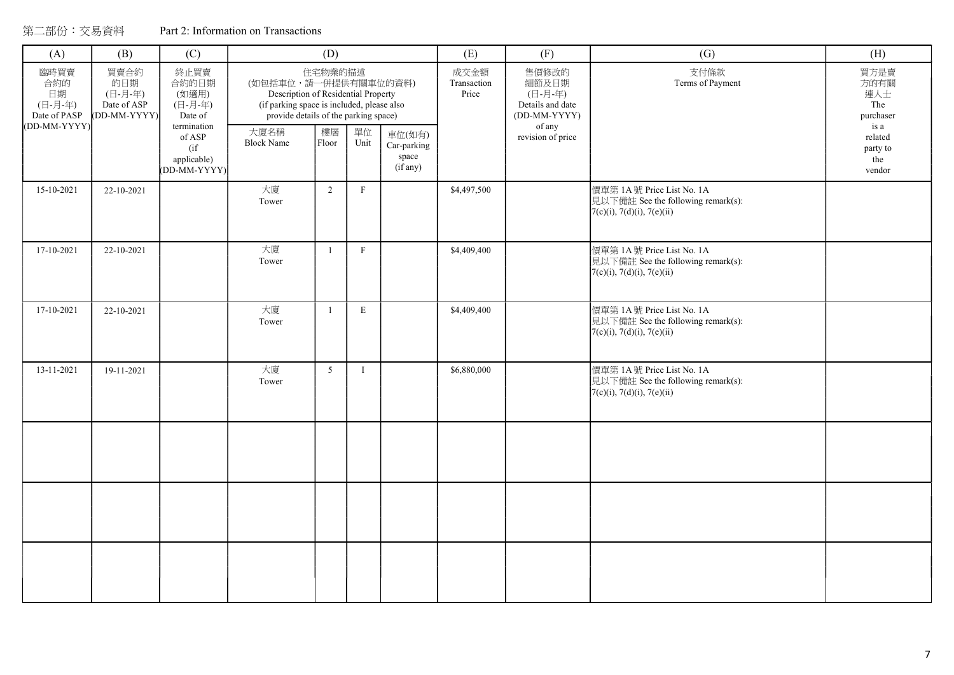| (A)                                          | (B)                                                  | (C)                                                         |                                                                                                                                                    | (D)            |                           |                                                    | (E)                          | (F)                                                                                          | (G)                                                                                              | (H)                                             |
|----------------------------------------------|------------------------------------------------------|-------------------------------------------------------------|----------------------------------------------------------------------------------------------------------------------------------------------------|----------------|---------------------------|----------------------------------------------------|------------------------------|----------------------------------------------------------------------------------------------|--------------------------------------------------------------------------------------------------|-------------------------------------------------|
| 臨時買賣<br>合約的<br>日期<br>(日-月-年)<br>Date of PASP | 買賣合約<br>的日期<br>(日-月-年)<br>Date of ASP<br>DD-MM-YYYY) | 終止買賣<br>合約的日期<br>(如適用)<br>(日-月-年)<br>Date of<br>termination | (如包括車位,請一併提供有關車位的資料)<br>Description of Residential Property<br>(if parking space is included, please also<br>provide details of the parking space) | 住宅物業的描述        |                           |                                                    | 成交金額<br>Transaction<br>Price | 售價修改的<br>細節及日期<br>(日-月-年)<br>Details and date<br>(DD-MM-YYYY)<br>of any<br>revision of price | 支付條款<br>Terms of Payment                                                                         | 買方是賣<br>方的有關<br>連人士<br>The<br>purchaser<br>is a |
| (DD-MM-YYYY)                                 |                                                      | of ASP<br>(if)<br>applicable)<br>(DD-MM-YYYY)               | 大廈名稱<br><b>Block Name</b>                                                                                                                          | 樓層<br>Floor    | 單位<br>Unit                | 車位(如有)<br>Car-parking<br>space<br>$(i\bar{f}$ any) |                              |                                                                                              |                                                                                                  | related<br>party to<br>the<br>vendor            |
| 15-10-2021                                   | 22-10-2021                                           |                                                             | 大廈<br>Tower                                                                                                                                        | $\overline{2}$ | $\boldsymbol{\mathrm{F}}$ |                                                    | \$4,497,500                  |                                                                                              | 價單第 1A號 Price List No. 1A<br>見以下備註 See the following remark(s):<br>$7(c)(i)$ , 7(d)(i), 7(e)(ii) |                                                 |
| 17-10-2021                                   | 22-10-2021                                           |                                                             | 大廈<br>Tower                                                                                                                                        | $\mathbf{1}$   | $\mathbf{F}$              |                                                    | \$4,409,400                  |                                                                                              | 價單第 1A號 Price List No. 1A<br>見以下備註 See the following remark(s):<br>$7(c)(i)$ , 7(d)(i), 7(e)(ii) |                                                 |
| 17-10-2021                                   | 22-10-2021                                           |                                                             | 大廈<br>Tower                                                                                                                                        | $\mathbf{1}$   | $\mathbf E$               |                                                    | \$4,409,400                  |                                                                                              | 價單第 1A號 Price List No. 1A<br>見以下備註 See the following remark(s):<br>7(c)(i), 7(d)(i), 7(e)(ii)    |                                                 |
| 13-11-2021                                   | 19-11-2021                                           |                                                             | 大廈<br>Tower                                                                                                                                        | 5 <sup>5</sup> | $\mathbf I$               |                                                    | \$6,880,000                  |                                                                                              | 價單第 1A號 Price List No. 1A<br>見以下備註 See the following remark(s):<br>$7(c)(i)$ , 7(d)(i), 7(e)(ii) |                                                 |
|                                              |                                                      |                                                             |                                                                                                                                                    |                |                           |                                                    |                              |                                                                                              |                                                                                                  |                                                 |
|                                              |                                                      |                                                             |                                                                                                                                                    |                |                           |                                                    |                              |                                                                                              |                                                                                                  |                                                 |
|                                              |                                                      |                                                             |                                                                                                                                                    |                |                           |                                                    |                              |                                                                                              |                                                                                                  |                                                 |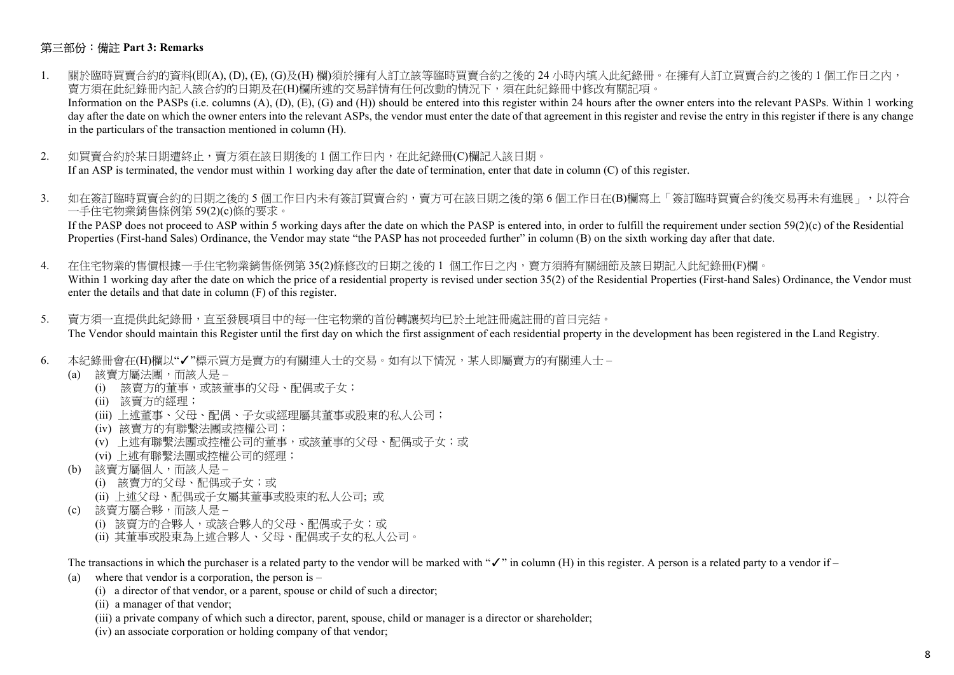### 第三部份:備註 Part 3: Remarks

- 1. 關於臨時買賣合約的資料(即(A), (D), (E), (G)及(H) 欄)須於擁有人訂立該等臨時買賣合約之後的 24 小時內填入此紀錄冊。在擁有人訂立買賣合約之後的 1 個工作日之內, 賣方須在此紀錄冊內記入該合約的日期及在(H)欄所述的交易詳情有任何改動的情況下,須在此紀錄冊中修改有關記項。 Information on the PASPs (i.e. columns (A), (D), (E), (G) and (H)) should be entered into this register within 24 hours after the owner enters into the relevant PASPs. Within 1 working day after the date on which the owner enters into the relevant ASPs, the vendor must enter the date of that agreement in this register and revise the entry in this register if there is any change in the particulars of the transaction mentioned in column (H).
- 2. 如買賣合約於某日期遭終止,賣方須在該日期後的 1 個工作日內, 在此紀錄冊(C)欄記入該日期。 If an ASP is terminated, the vendor must within 1 working day after the date of termination, enter that date in column (C) of this register.
- 3. 如在簽訂臨時買賣合約的日期之後的 5 個工作日内未有簽訂買賣合約,賣方可在該日期之後的第 6 個工作日在(B)欄寫上「簽訂臨時買賣合約後交易再未有進展」,以符合 一手住宅物業銷售條例第 59(2)(c)條的要求。

If the PASP does not proceed to ASP within 5 working days after the date on which the PASP is entered into, in order to fulfill the requirement under section  $59(2)(c)$  of the Residential Properties (First-hand Sales) Ordinance, the Vendor may state "the PASP has not proceeded further" in column (B) on the sixth working day after that date.

- 4. 在住宅物業的售價根據一手住宅物業銷售條例第 35(2)條修改的日期之後的 1 個工作日之內,賣方須將有關細節及該日期記入此紀錄冊(F)欄。 Within 1 working day after the date on which the price of a residential property is revised under section 35(2) of the Residential Properties (First-hand Sales) Ordinance, the Vendor must enter the details and that date in column (F) of this register.
- 5. 賣方須一直提供此紀錄冊,直至發展項目中的每一住宅物業的首份轉讓契均已於土地註冊處註冊的首日完結。 The Vendor should maintain this Register until the first day on which the first assignment of each residential property in the development has been registered in the Land Registry.
- 6. 本紀錄冊會在(H)欄以"√"標示買方是賣方的有關連人士的交易。如有以下情況,某人即屬賣方的有關連人士
	- (a) 該賣方屬法團,而該人是
		- (i) 該賣方的董事,或該董事的父母、配偶或子女;
		- (ii) 該賣方的經理;
		- (iii) 上述董事、父母、配偶、子女或經理屬其董事或股東的私人公司;
		- (iv) 該賣方的有聯繫法團或控權公司;
		- (v) 上述有聯繫法團或控權公司的董事,或該董事的父母、配偶或子女;或
		- (vi) 上述有聯繫法團或控權公司的經理;
	- (b) 該賣方屬個人,而該人是
		- (i) 該賣方的父母、配偶或子女;或
		- (ii) 上述父母、配偶或子女屬其董事或股東的私人公司; 或
	- (c) 該賣方屬合夥,而該人是
		- (i) 該賣方的合夥人,或該合夥人的父母、配偶或子女;或
		- (ii) 其董事或股東為上述合夥人、父母、配偶或子女的私人公司。

The transactions in which the purchaser is a related party to the vendor will be marked with " $\checkmark$ " in column (H) in this register. A person is a related party to a vendor if –

- (a) where that vendor is a corporation, the person is  $-$ 
	- (i) a director of that vendor, or a parent, spouse or child of such a director;
	- (ii) a manager of that vendor;
	- (iii) a private company of which such a director, parent, spouse, child or manager is a director or shareholder;
	- (iv) an associate corporation or holding company of that vendor;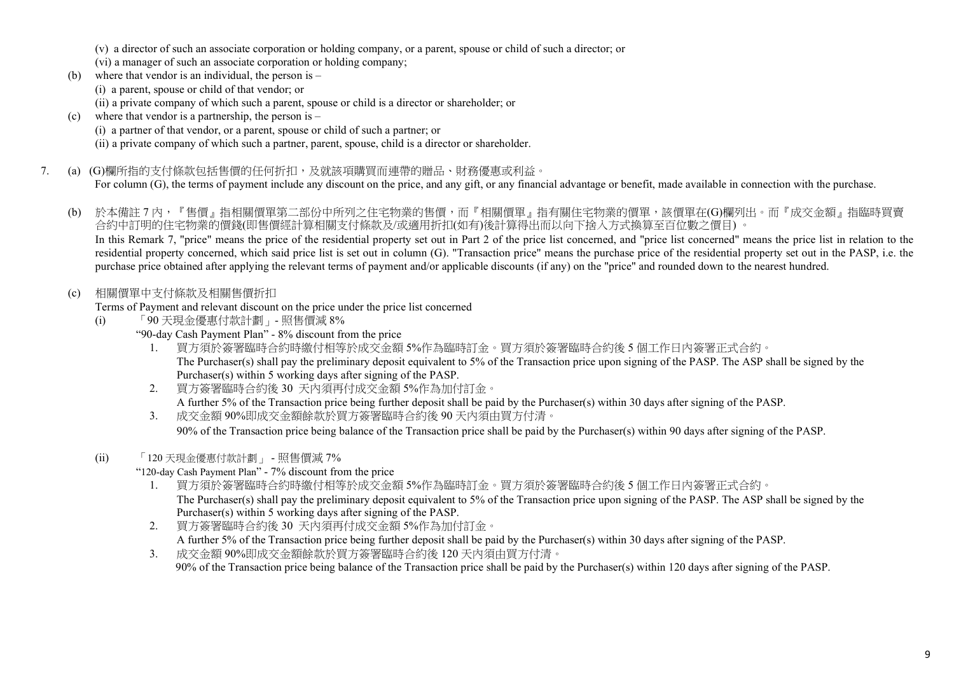(v) a director of such an associate corporation or holding company, or a parent, spouse or child of such a director; or

- (vi) a manager of such an associate corporation or holding company;
- (b) where that vendor is an individual, the person is
	- (i) a parent, spouse or child of that vendor; or
	- (ii) a private company of which such a parent, spouse or child is a director or shareholder; or
- (c) where that vendor is a partnership, the person is  $-$ 
	- (i) a partner of that vendor, or a parent, spouse or child of such a partner; or
	- (ii) a private company of which such a partner, parent, spouse, child is a director or shareholder.
- 7. (a) (G)欄所指的支付條款包括售價的任何折扣,及就該項購買而連帶的贈品、財務優惠或利益。

For column (G), the terms of payment include any discount on the price, and any gift, or any financial advantage or benefit, made available in connection with the purchase.

- (b) 於本備註 7 內,『售價』指相關價單第二部份中所列之住宅物業的售價,而『相關價單』指有關住宅物業的價單,該價單在(G)欄列出。而『成交金額』指臨時買賣 合約中訂明的住宅物業的價錢(即售價經計算相關支付條款及/或適用折扣(如有)後計算得出而以向下捨入方式換算至百位數之價目) 。 In this Remark 7, "price" means the price of the residential property set out in Part 2 of the price list concerned, and "price list concerned" means the price list in relation to the residential property concerned, which said price list is set out in column (G). "Transaction price" means the purchase price of the residential property set out in the PASP, i.e. the purchase price obtained after applying the relevant terms of payment and/or applicable discounts (if any) on the "price" and rounded down to the nearest hundred.
- (c) 相關價單中支付條款及相關售價折扣
	- Terms of Payment and relevant discount on the price under the price list concerned
	- (i) 「90 天現金優惠付款計劃」- 照售價減 8%
		- "90-day Cash Payment Plan" 8% discount from the price
			- 1. 買方須於簽署臨時合約時繳付相等於成交金額 5%作為臨時訂金。買方須於簽署臨時合約後 5 個工作日內簽署正式合約。 The Purchaser(s) shall pay the preliminary deposit equivalent to 5% of the Transaction price upon signing of the PASP. The ASP shall be signed by the Purchaser(s) within 5 working days after signing of the PASP.
			- 2. 買方簽署臨時合約後 30 天內須再付成交金額 5%作為加付訂金。 A further 5% of the Transaction price being further deposit shall be paid by the Purchaser(s) within 30 days after signing of the PASP.
			- 3. 成交金額 90%即成交金額餘款於買方簽署臨時合約後 90 天內須由買方付清。 90% of the Transaction price being balance of the Transaction price shall be paid by the Purchaser(s) within 90 days after signing of the PASP.
	- (ii) 「120 天現金優惠付款計劃」 照售價減 7%

"120-day Cash Payment Plan" - 7% discount from the price

- 1. 買方須於簽署臨時合約時繳付相等於成交金額 5%作為臨時訂金。買方須於簽署臨時合約後 5 個工作日內簽署正式合約。 The Purchaser(s) shall pay the preliminary deposit equivalent to 5% of the Transaction price upon signing of the PASP. The ASP shall be signed by the Purchaser(s) within 5 working days after signing of the PASP.
- 2. 買方簽署臨時合約後 30 天內須再付成交金額 5%作為加付訂金。 A further 5% of the Transaction price being further deposit shall be paid by the Purchaser(s) within 30 days after signing of the PASP.
- 3. 成交金額 90%即成交金額餘款於買方簽署臨時合約後 120 天內須由買方付清。 90% of the Transaction price being balance of the Transaction price shall be paid by the Purchaser(s) within 120 days after signing of the PASP.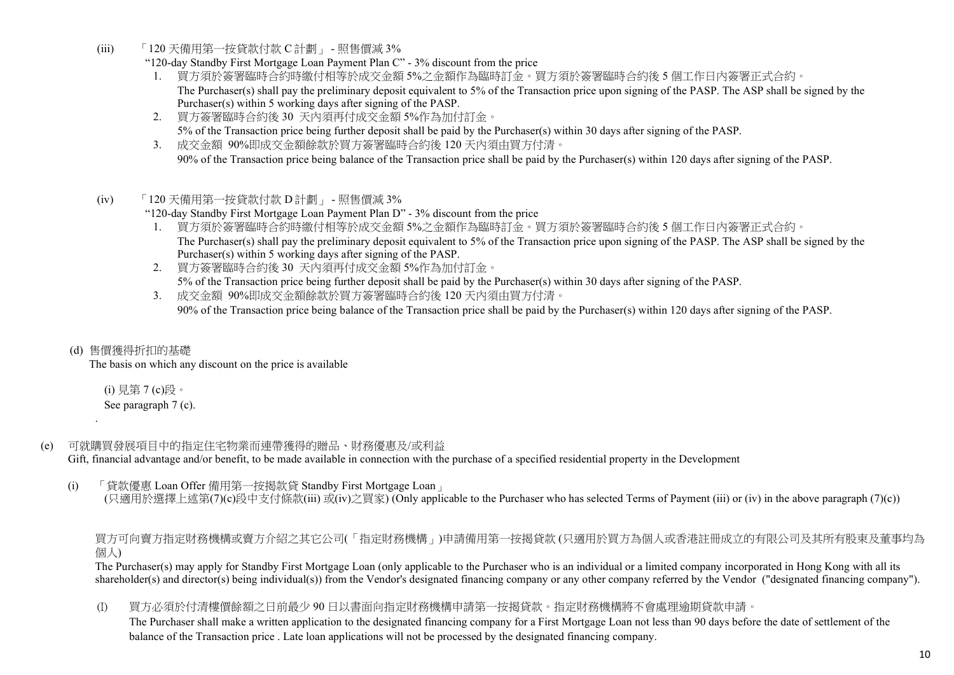(iii) 「120 天備用第一按貸款付款 C 計劃」 - 照售價減 3%

"120-day Standby First Mortgage Loan Payment Plan C" - 3% discount from the price

- 1. 買方須於簽署臨時合約時繳付相等於成交金額 5%之金額作為臨時訂金。買方須於簽署臨時合約後 5 個工作日內簽署正式合約。 The Purchaser(s) shall pay the preliminary deposit equivalent to 5% of the Transaction price upon signing of the PASP. The ASP shall be signed by the Purchaser(s) within 5 working days after signing of the PASP.
- 2. 買方簽署臨時合約後 30 天內須再付成交金額 5%作為加付訂金。 5% of the Transaction price being further deposit shall be paid by the Purchaser(s) within 30 days after signing of the PASP.
- 3. 成交金額 90%即成交金額餘款於買方簽署臨時合約後 120 天內須由買方付清。 90% of the Transaction price being balance of the Transaction price shall be paid by the Purchaser(s) within 120 days after signing of the PASP.
- (iv) 「120 天備用第一按貸款付款 D 計劃」 照售價減 3%

"120-day Standby First Mortgage Loan Payment Plan D" - 3% discount from the price

- 1. 買方須於簽署臨時合約時繳付相等於成交金額 5%之金額作為臨時訂金。買方須於簽署臨時合約後 5 個工作日內簽署正式合約。 The Purchaser(s) shall pay the preliminary deposit equivalent to 5% of the Transaction price upon signing of the PASP. The ASP shall be signed by the Purchaser(s) within 5 working days after signing of the PASP.
- 2. 買方簽署臨時合約後 30 天內須再付成交金額 5%作為加付訂金。 5% of the Transaction price being further deposit shall be paid by the Purchaser(s) within 30 days after signing of the PASP.
- 3. 成交金額 90%即成交金額餘款於買方簽署臨時合約後 120 天內須由買方付清。 90% of the Transaction price being balance of the Transaction price shall be paid by the Purchaser(s) within 120 days after signing of the PASP.
- (d) 售價獲得折扣的基礎

.

The basis on which any discount on the price is available

 (i) 見第 7 (c)段。 See paragraph 7 (c).

(e) 可就購買發展項目中的指定住宅物業而連帶獲得的贈品、財務優惠及/或利益

Gift, financial advantage and/or benefit, to be made available in connection with the purchase of a specified residential property in the Development

(i) 「貸款優惠 Loan Offer 備用第一按揭款貸 Standby First Mortgage Loan」 (只適用於選擇上述第(7)(c)段中支付條款(iii) 或(iv)之買家) (Only applicable to the Purchaser who has selected Terms of Payment (iii) or (iv) in the above paragraph (7)(c))

買方可向賣方指定財務機構或賣方介紹之其它公司(「指定財務機構」)申請備用第一按揭貸款 (只適用於買方為個人或香港註冊成立的有限公司及其所有股東及董事均為 個人)

The Purchaser(s) may apply for Standby First Mortgage Loan (only applicable to the Purchaser who is an individual or a limited company incorporated in Hong Kong with all its shareholder(s) and director(s) being individual(s)) from the Vendor's designated financing company or any other company referred by the Vendor ("designated financing company").

(I) 買方必須於付清樓價餘額之日前最少 90 日以書面向指定財務機構申請第一按揭貸款。指定財務機構將不會處理逾期貸款申請。

The Purchaser shall make a written application to the designated financing company for a First Mortgage Loan not less than 90 days before the date of settlement of the balance of the Transaction price . Late loan applications will not be processed by the designated financing company.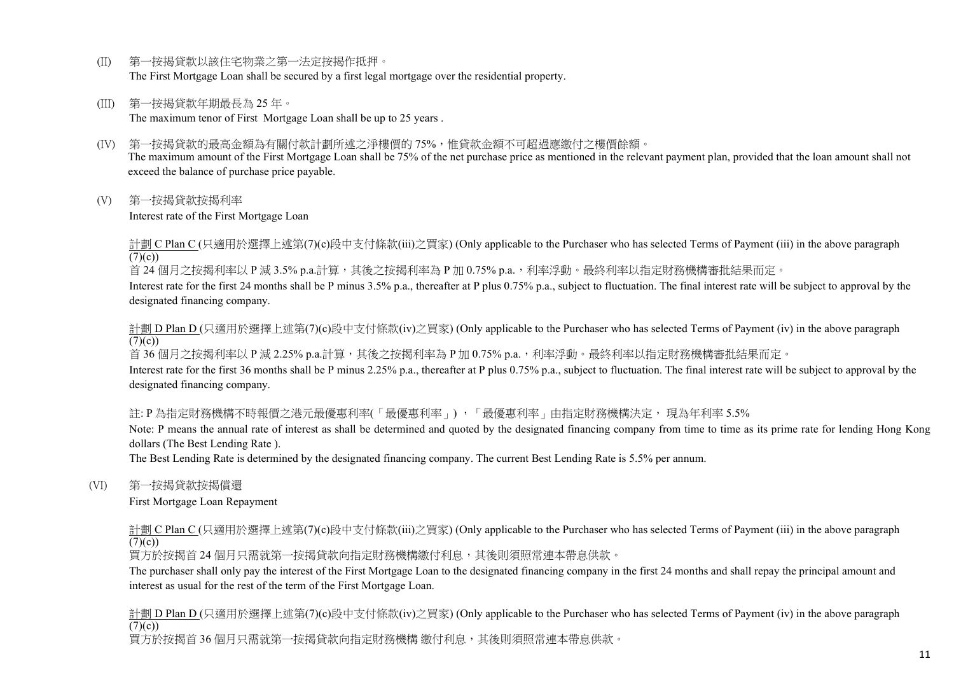- (II) 第一按揭貸款以該住宅物業之第一法定按揭作抵押。 The First Mortgage Loan shall be secured by a first legal mortgage over the residential property.
- (III) 第一按揭貸款年期最長為 25 年。 The maximum tenor of First Mortgage Loan shall be up to 25 years .
- (IV) 第一按揭貸款的最高金額為有關付款計劃所述之淨樓價的 75%,惟貸款金額不可超過應繳付之樓價餘額。 The maximum amount of the First Mortgage Loan shall be 75% of the net purchase price as mentioned in the relevant payment plan, provided that the loan amount shall not exceed the balance of purchase price payable.
- (V) 第一按揭貸款按揭利率

Interest rate of the First Mortgage Loan

計劃 C Plan C (只適用於選擇上述第(7)(c)段中支付條款(iii)之買家) (Only applicable to the Purchaser who has selected Terms of Payment (iii) in the above paragraph  $(7)(c)$ 

首 24 個月之按揭利率以 P 減 3.5% p.a.計算,其後之按揭利率為 P 加 0.75% p.a.,利率浮動。最終利率以指定財務機構審批結果而定。

Interest rate for the first 24 months shall be P minus 3.5% p.a., thereafter at P plus 0.75% p.a., subject to fluctuation. The final interest rate will be subject to approval by the designated financing company.

計劃 D Plan D (只適用於選擇上述第(7)(c)段中支付條款(iv)之買家) (Only applicable to the Purchaser who has selected Terms of Payment (iv) in the above paragraph  $(7)(c)$ 

首 36 個月之按揭利率以 P 減 2.25% p.a.計算,其後之按揭利率為 P 加 0.75% p.a.,利率浮動。最終利率以指定財務機構審批結果而定。

Interest rate for the first 36 months shall be P minus 2.25% p.a., thereafter at P plus 0.75% p.a., subject to fluctuation. The final interest rate will be subject to approval by the designated financing company.

## 註: P 為指定財務機構不時報價之港元最優惠利率(「最優惠利率」) ,「最優惠利率」由指定財務機構決定, 現為年利率 5.5%

Note: P means the annual rate of interest as shall be determined and quoted by the designated financing company from time to time as its prime rate for lending Hong Kong dollars (The Best Lending Rate ).

The Best Lending Rate is determined by the designated financing company. The current Best Lending Rate is 5.5% per annum.

(VI) 第一按揭貸款按揭償還

First Mortgage Loan Repayment

計劃 C Plan C (只適用於選擇上述第(7)(c)段中支付條款(iii)之買家) (Only applicable to the Purchaser who has selected Terms of Payment (iii) in the above paragraph  $(7)(c)$ 

買方於按揭首 24 個月只需就第一按揭貸款向指定財務機構繳付利息,其後則須照常連本帶息供款。

The purchaser shall only pay the interest of the First Mortgage Loan to the designated financing company in the first 24 months and shall repay the principal amount and interest as usual for the rest of the term of the First Mortgage Loan.

計劃 D Plan D (只適用於選擇上述第(7)(c)段中支付條款(iv)之買家) (Only applicable to the Purchaser who has selected Terms of Payment (iv) in the above paragraph  $(7)(c)$ 買方於按揭首 36 個月只需就第一按揭貸款向指定財務機構 繳付利息,其後則須照常連本帶息供款。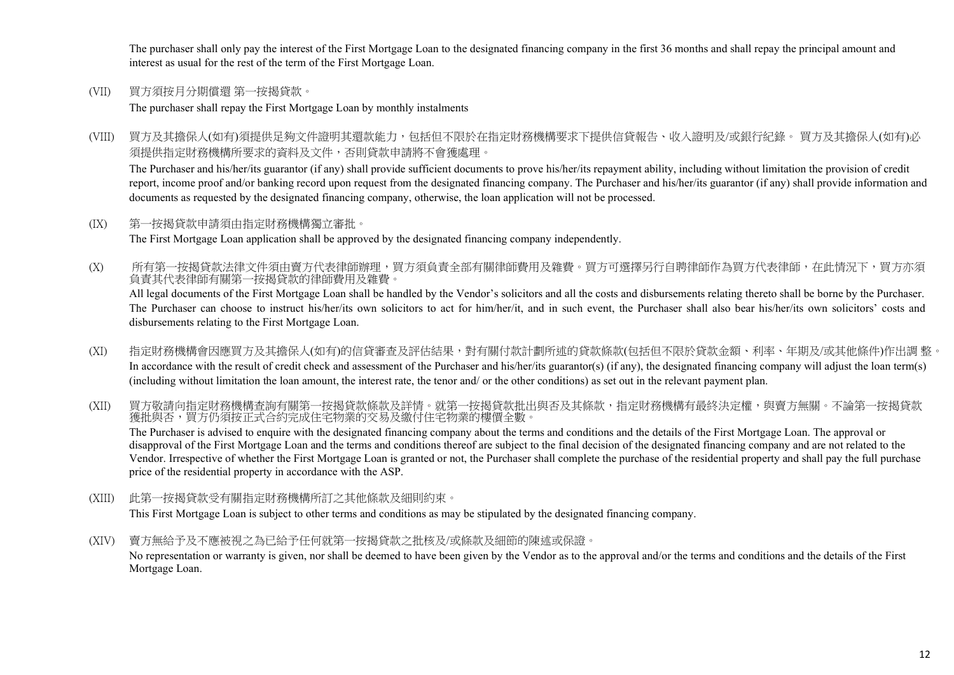The purchaser shall only pay the interest of the First Mortgage Loan to the designated financing company in the first 36 months and shall repay the principal amount and interest as usual for the rest of the term of the First Mortgage Loan.

(VII) 買方須按月分期償還 第一按揭貸款。

The purchaser shall repay the First Mortgage Loan by monthly instalments

(VIII) 買方及其擔保人(如有)須提供足夠文件證明其還款能力,包括但不限於在指定財務機構要求下提供信貸報告、收入證明及/或銀行紀錄。 買方及其擔保人(如有)必 須提供指定財務機構所要求的資料及文件,否則貸款申請將不會獲處理。

The Purchaser and his/her/its guarantor (if any) shall provide sufficient documents to prove his/her/its repayment ability, including without limitation the provision of credit report, income proof and/or banking record upon request from the designated financing company. The Purchaser and his/her/its guarantor (if any) shall provide information and documents as requested by the designated financing company, otherwise, the loan application will not be processed.

#### (IX) 第一按揭貸款申請須由指定財務機構獨立審批。

The First Mortgage Loan application shall be approved by the designated financing company independently.

(X) 所有第一按揭貸款法律文件須由賣方代表律師辦理,買方須負責全部有關律師費用及雜費。買方可選擇另行自聘律師作為買方代表律師,在此情況下,買方亦須 負責其代表律師有關第一按揭貸款的律師費用及雜費。

All legal documents of the First Mortgage Loan shall be handled by the Vendor's solicitors and all the costs and disbursements relating thereto shall be borne by the Purchaser. The Purchaser can choose to instruct his/her/its own solicitors to act for him/her/it, and in such event, the Purchaser shall also bear his/her/its own solicitors' costs and disbursements relating to the First Mortgage Loan.

(XI) 指定財務機構會因應買方及其擔保人(如有)的信貸審查及評估結果,對有關付款計劃所述的貸款條款(包括但不限於貸款金額、利率、年期及/或其他條件)作出調 整。 In accordance with the result of credit check and assessment of the Purchaser and his/her/its guarantor(s) (if any), the designated financing company will adjust the loan term(s) (including without limitation the loan amount, the interest rate, the tenor and/ or the other conditions) as set out in the relevant payment plan.

(XII) 買方敬請向指定財務機構查詢有關第一按揭貸款條款及詳情。就第一按揭貸款批出與否及其條款,指定財務機構有最終決定權,與賣方無關。不論第一按揭貸款 獲批與否,買方仍須按正式合約完成住宅物業的交易及繳付住宅物業的樓價全數。 The Purchaser is advised to enquire with the designated financing company about the terms and conditions and the details of the First Mortgage Loan. The approval or disapproval of the First Mortgage Loan and the terms and conditions thereof are subject to the final decision of the designated financing company and are not related to the Vendor. Irrespective of whether the First Mortgage Loan is granted or not, the Purchaser shall complete the purchase of the residential property and shall pay the full purchase price of the residential property in accordance with the ASP.

(XIII) 此第一按揭貸款受有關指定財務機構所訂之其他條款及細則約束。

This First Mortgage Loan is subject to other terms and conditions as may be stipulated by the designated financing company.

(XIV) 賣方無給予及不應被視之為已給予任何就第一按揭貸款之批核及/或條款及細節的陳述或保證。

No representation or warranty is given, nor shall be deemed to have been given by the Vendor as to the approval and/or the terms and conditions and the details of the First Mortgage Loan.